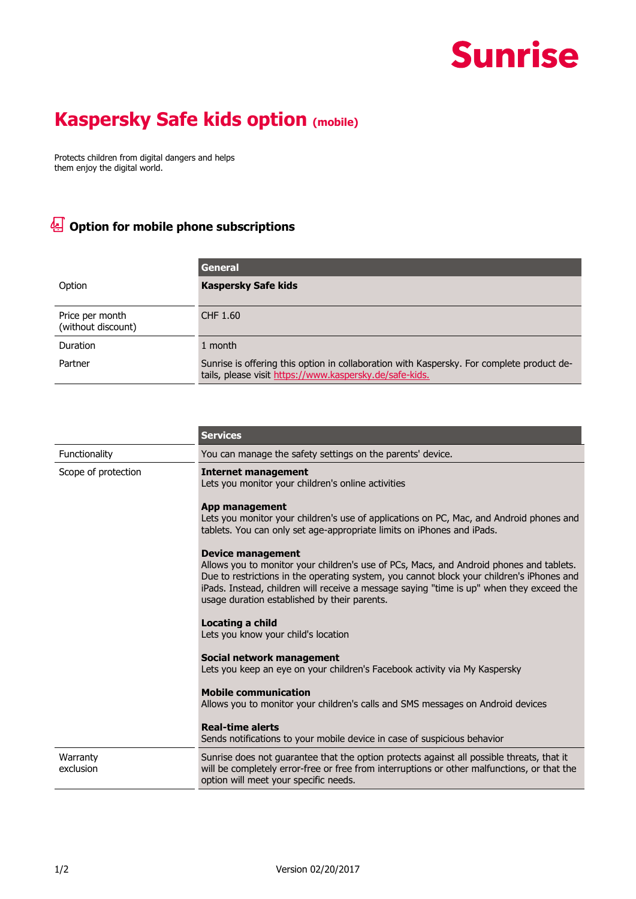## **Sunrise**

## **Kaspersky Safe kids option (mobile)**

Protects children from digital dangers and helps them enjoy the digital world.

## **Option for mobile phone subscriptions**

|                                       | General                                                                                                                                              |
|---------------------------------------|------------------------------------------------------------------------------------------------------------------------------------------------------|
| Option                                | <b>Kaspersky Safe kids</b>                                                                                                                           |
| Price per month<br>(without discount) | CHF 1.60                                                                                                                                             |
| Duration                              | 1 month                                                                                                                                              |
| Partner                               | Sunrise is offering this option in collaboration with Kaspersky. For complete product de-<br>tails, please visit https://www.kaspersky.de/safe-kids. |

|                       | <b>Services</b>                                                                                                                                                                                                                                                                                                                                       |
|-----------------------|-------------------------------------------------------------------------------------------------------------------------------------------------------------------------------------------------------------------------------------------------------------------------------------------------------------------------------------------------------|
| Functionality         | You can manage the safety settings on the parents' device.                                                                                                                                                                                                                                                                                            |
| Scope of protection   | Internet management<br>Lets you monitor your children's online activities                                                                                                                                                                                                                                                                             |
|                       | App management<br>Lets you monitor your children's use of applications on PC, Mac, and Android phones and<br>tablets. You can only set age-appropriate limits on iPhones and iPads.                                                                                                                                                                   |
|                       | Device management<br>Allows you to monitor your children's use of PCs, Macs, and Android phones and tablets.<br>Due to restrictions in the operating system, you cannot block your children's iPhones and<br>iPads. Instead, children will receive a message saying "time is up" when they exceed the<br>usage duration established by their parents. |
|                       | Locating a child<br>Lets you know your child's location                                                                                                                                                                                                                                                                                               |
|                       | Social network management<br>Lets you keep an eye on your children's Facebook activity via My Kaspersky                                                                                                                                                                                                                                               |
|                       | <b>Mobile communication</b><br>Allows you to monitor your children's calls and SMS messages on Android devices                                                                                                                                                                                                                                        |
|                       | <b>Real-time alerts</b><br>Sends notifications to your mobile device in case of suspicious behavior                                                                                                                                                                                                                                                   |
| Warranty<br>exclusion | Sunrise does not guarantee that the option protects against all possible threats, that it<br>will be completely error-free or free from interruptions or other malfunctions, or that the<br>option will meet your specific needs.                                                                                                                     |